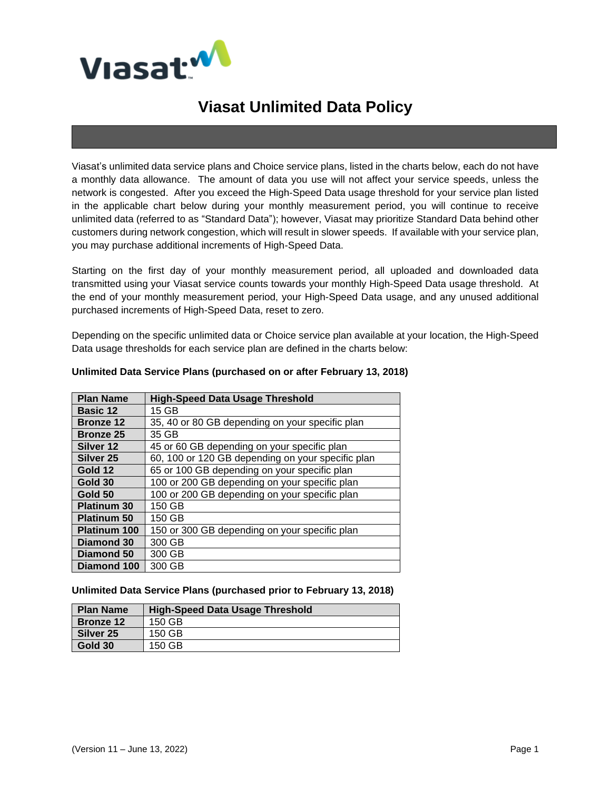

# **Viasat Unlimited Data Policy**

Viasat's unlimited data service plans and Choice service plans, listed in the charts below, each do not have a monthly data allowance. The amount of data you use will not affect your service speeds, unless the network is congested. After you exceed the High-Speed Data usage threshold for your service plan listed in the applicable chart below during your monthly measurement period, you will continue to receive unlimited data (referred to as "Standard Data"); however, Viasat may prioritize Standard Data behind other customers during network congestion, which will result in slower speeds. If available with your service plan, you may purchase additional increments of High-Speed Data.

Starting on the first day of your monthly measurement period, all uploaded and downloaded data transmitted using your Viasat service counts towards your monthly High-Speed Data usage threshold. At the end of your monthly measurement period, your High-Speed Data usage, and any unused additional purchased increments of High-Speed Data, reset to zero.

Depending on the specific unlimited data or Choice service plan available at your location, the High-Speed Data usage thresholds for each service plan are defined in the charts below:

| <b>Plan Name</b>     | <b>High-Speed Data Usage Threshold</b>            |  |  |
|----------------------|---------------------------------------------------|--|--|
| <b>Basic 12</b>      | 15 GB                                             |  |  |
| <b>Bronze 12</b>     | 35, 40 or 80 GB depending on your specific plan   |  |  |
| <b>Bronze 25</b>     | 35 GB                                             |  |  |
| Silver 12            | 45 or 60 GB depending on your specific plan       |  |  |
| Silver <sub>25</sub> | 60, 100 or 120 GB depending on your specific plan |  |  |
| Gold 12              | 65 or 100 GB depending on your specific plan      |  |  |
| Gold 30              | 100 or 200 GB depending on your specific plan     |  |  |
| Gold 50              | 100 or 200 GB depending on your specific plan     |  |  |
| <b>Platinum 30</b>   | 150 GB                                            |  |  |
| <b>Platinum 50</b>   | 150 GB                                            |  |  |
| Platinum 100         | 150 or 300 GB depending on your specific plan     |  |  |
| Diamond 30           | 300 GB                                            |  |  |
| Diamond 50           | 300 GB                                            |  |  |
| Diamond 100          | 300 GB                                            |  |  |

#### **Unlimited Data Service Plans (purchased on or after February 13, 2018)**

#### **Unlimited Data Service Plans (purchased prior to February 13, 2018)**

| <b>Plan Name</b>     | <b>High-Speed Data Usage Threshold</b> |
|----------------------|----------------------------------------|
| <b>Bronze 12</b>     | 150 GB                                 |
| Silver <sub>25</sub> | 150 GB                                 |
| Gold 30              | 150 GB                                 |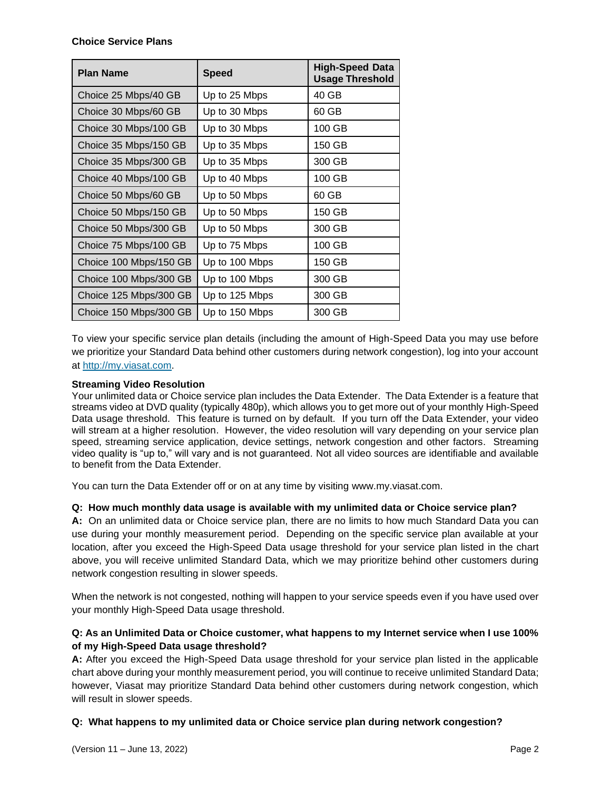### **Choice Service Plans**

| <b>Plan Name</b>       | <b>Speed</b>   | <b>High-Speed Data</b><br><b>Usage Threshold</b> |
|------------------------|----------------|--------------------------------------------------|
| Choice 25 Mbps/40 GB   | Up to 25 Mbps  | 40 GB                                            |
| Choice 30 Mbps/60 GB   | Up to 30 Mbps  | 60 GB                                            |
| Choice 30 Mbps/100 GB  | Up to 30 Mbps  | 100 GB                                           |
| Choice 35 Mbps/150 GB  | Up to 35 Mbps  | 150 GB                                           |
| Choice 35 Mbps/300 GB  | Up to 35 Mbps  | 300 GB                                           |
| Choice 40 Mbps/100 GB  | Up to 40 Mbps  | 100 GB                                           |
| Choice 50 Mbps/60 GB   | Up to 50 Mbps  | 60 GB                                            |
| Choice 50 Mbps/150 GB  | Up to 50 Mbps  | 150 GB                                           |
| Choice 50 Mbps/300 GB  | Up to 50 Mbps  | 300 GB                                           |
| Choice 75 Mbps/100 GB  | Up to 75 Mbps  | 100 GB                                           |
| Choice 100 Mbps/150 GB | Up to 100 Mbps | 150 GB                                           |
| Choice 100 Mbps/300 GB | Up to 100 Mbps | 300 GB                                           |
| Choice 125 Mbps/300 GB | Up to 125 Mbps | 300 GB                                           |
| Choice 150 Mbps/300 GB | Up to 150 Mbps | 300 GB                                           |

To view your specific service plan details (including the amount of High-Speed Data you may use before we prioritize your Standard Data behind other customers during network congestion), log into your account at [http://my.viasat.com.](http://my.viasat.com/)

# **Streaming Video Resolution**

Your unlimited data or Choice service plan includes the Data Extender. The Data Extender is a feature that streams video at DVD quality (typically 480p), which allows you to get more out of your monthly High-Speed Data usage threshold. This feature is turned on by default. If you turn off the Data Extender, your video will stream at a higher resolution. However, the video resolution will vary depending on your service plan speed, streaming service application, device settings, network congestion and other factors. Streaming video quality is "up to," will vary and is not guaranteed. Not all video sources are identifiable and available to benefit from the Data Extender.

You can turn the Data Extender off or on at any time by visiting www.my.viasat.com.

# **Q: How much monthly data usage is available with my unlimited data or Choice service plan?**

**A:** On an unlimited data or Choice service plan, there are no limits to how much Standard Data you can use during your monthly measurement period. Depending on the specific service plan available at your location, after you exceed the High-Speed Data usage threshold for your service plan listed in the chart above, you will receive unlimited Standard Data, which we may prioritize behind other customers during network congestion resulting in slower speeds.

When the network is not congested, nothing will happen to your service speeds even if you have used over your monthly High-Speed Data usage threshold.

# **Q: As an Unlimited Data or Choice customer, what happens to my Internet service when I use 100% of my High-Speed Data usage threshold?**

**A:** After you exceed the High-Speed Data usage threshold for your service plan listed in the applicable chart above during your monthly measurement period, you will continue to receive unlimited Standard Data; however, Viasat may prioritize Standard Data behind other customers during network congestion, which will result in slower speeds.

# **Q: What happens to my unlimited data or Choice service plan during network congestion?**